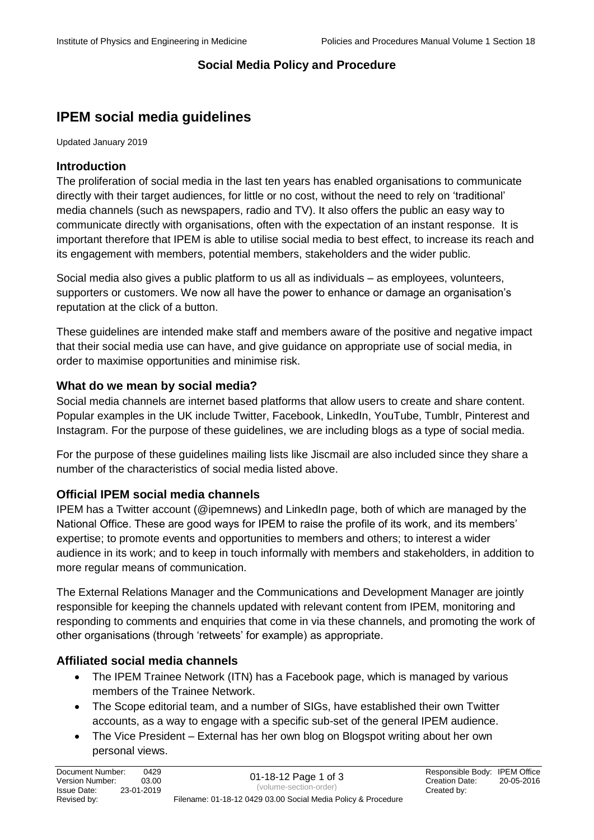## **Social Media Policy and Procedure**

# **IPEM social media guidelines**

Updated January 2019

## **Introduction**

The proliferation of social media in the last ten years has enabled organisations to communicate directly with their target audiences, for little or no cost, without the need to rely on 'traditional' media channels (such as newspapers, radio and TV). It also offers the public an easy way to communicate directly with organisations, often with the expectation of an instant response. It is important therefore that IPEM is able to utilise social media to best effect, to increase its reach and its engagement with members, potential members, stakeholders and the wider public.

Social media also gives a public platform to us all as individuals – as employees, volunteers, supporters or customers. We now all have the power to enhance or damage an organisation's reputation at the click of a button.

These guidelines are intended make staff and members aware of the positive and negative impact that their social media use can have, and give guidance on appropriate use of social media, in order to maximise opportunities and minimise risk.

#### **What do we mean by social media?**

Social media channels are internet based platforms that allow users to create and share content. Popular examples in the UK include Twitter, Facebook, LinkedIn, YouTube, Tumblr, Pinterest and Instagram. For the purpose of these guidelines, we are including blogs as a type of social media.

For the purpose of these guidelines mailing lists like Jiscmail are also included since they share a number of the characteristics of social media listed above.

## **Official IPEM social media channels**

IPEM has a Twitter account (@ipemnews) and LinkedIn page, both of which are managed by the National Office. These are good ways for IPEM to raise the profile of its work, and its members' expertise; to promote events and opportunities to members and others; to interest a wider audience in its work; and to keep in touch informally with members and stakeholders, in addition to more regular means of communication.

The External Relations Manager and the Communications and Development Manager are jointly responsible for keeping the channels updated with relevant content from IPEM, monitoring and responding to comments and enquiries that come in via these channels, and promoting the work of other organisations (through 'retweets' for example) as appropriate.

## **Affiliated social media channels**

- The IPEM Trainee Network (ITN) has a Facebook page, which is managed by various members of the Trainee Network.
- The Scope editorial team, and a number of SIGs, have established their own Twitter accounts, as a way to engage with a specific sub-set of the general IPEM audience.
- The Vice President External has her own blog on Blogspot writing about her own personal views.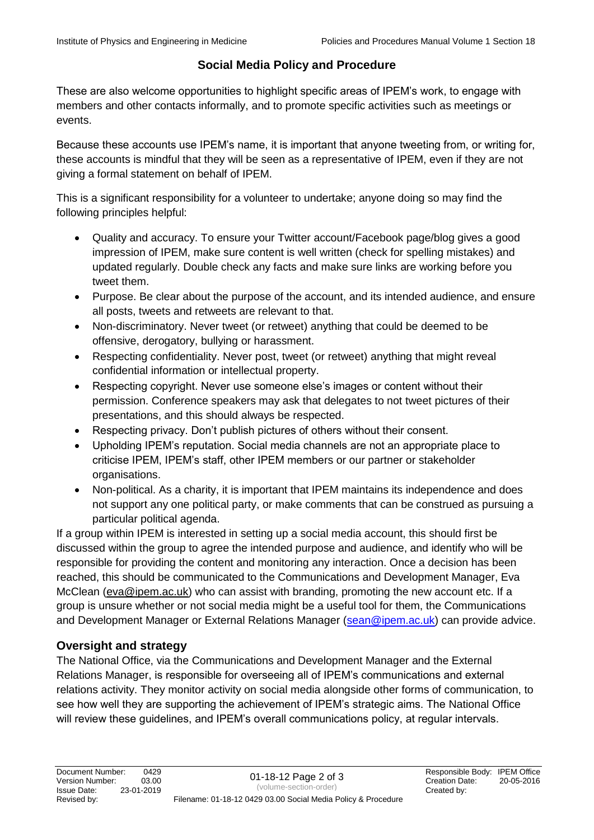## **Social Media Policy and Procedure**

These are also welcome opportunities to highlight specific areas of IPEM's work, to engage with members and other contacts informally, and to promote specific activities such as meetings or events.

Because these accounts use IPEM's name, it is important that anyone tweeting from, or writing for, these accounts is mindful that they will be seen as a representative of IPEM, even if they are not giving a formal statement on behalf of IPEM.

This is a significant responsibility for a volunteer to undertake; anyone doing so may find the following principles helpful:

- Quality and accuracy. To ensure your Twitter account/Facebook page/blog gives a good impression of IPEM, make sure content is well written (check for spelling mistakes) and updated regularly. Double check any facts and make sure links are working before you tweet them.
- Purpose. Be clear about the purpose of the account, and its intended audience, and ensure all posts, tweets and retweets are relevant to that.
- Non-discriminatory. Never tweet (or retweet) anything that could be deemed to be offensive, derogatory, bullying or harassment.
- Respecting confidentiality. Never post, tweet (or retweet) anything that might reveal confidential information or intellectual property.
- Respecting copyright. Never use someone else's images or content without their permission. Conference speakers may ask that delegates to not tweet pictures of their presentations, and this should always be respected.
- Respecting privacy. Don't publish pictures of others without their consent.
- Upholding IPEM's reputation. Social media channels are not an appropriate place to criticise IPEM, IPEM's staff, other IPEM members or our partner or stakeholder organisations.
- Non-political. As a charity, it is important that IPEM maintains its independence and does not support any one political party, or make comments that can be construed as pursuing a particular political agenda.

If a group within IPEM is interested in setting up a social media account, this should first be discussed within the group to agree the intended purpose and audience, and identify who will be responsible for providing the content and monitoring any interaction. Once a decision has been reached, this should be communicated to the Communications and Development Manager, Eva McClean [\(eva@ipem.ac.uk\)](mailto:eva@ipem.ac.uk) who can assist with branding, promoting the new account etc. If a group is unsure whether or not social media might be a useful tool for them, the Communications and Development Manager or External Relations Manager [\(sean@ipem.ac.uk\)](mailto:sean@ipem.ac.uk) can provide advice.

## **Oversight and strategy**

The National Office, via the Communications and Development Manager and the External Relations Manager, is responsible for overseeing all of IPEM's communications and external relations activity. They monitor activity on social media alongside other forms of communication, to see how well they are supporting the achievement of IPEM's strategic aims. The National Office will review these guidelines, and IPEM's overall communications policy, at regular intervals.